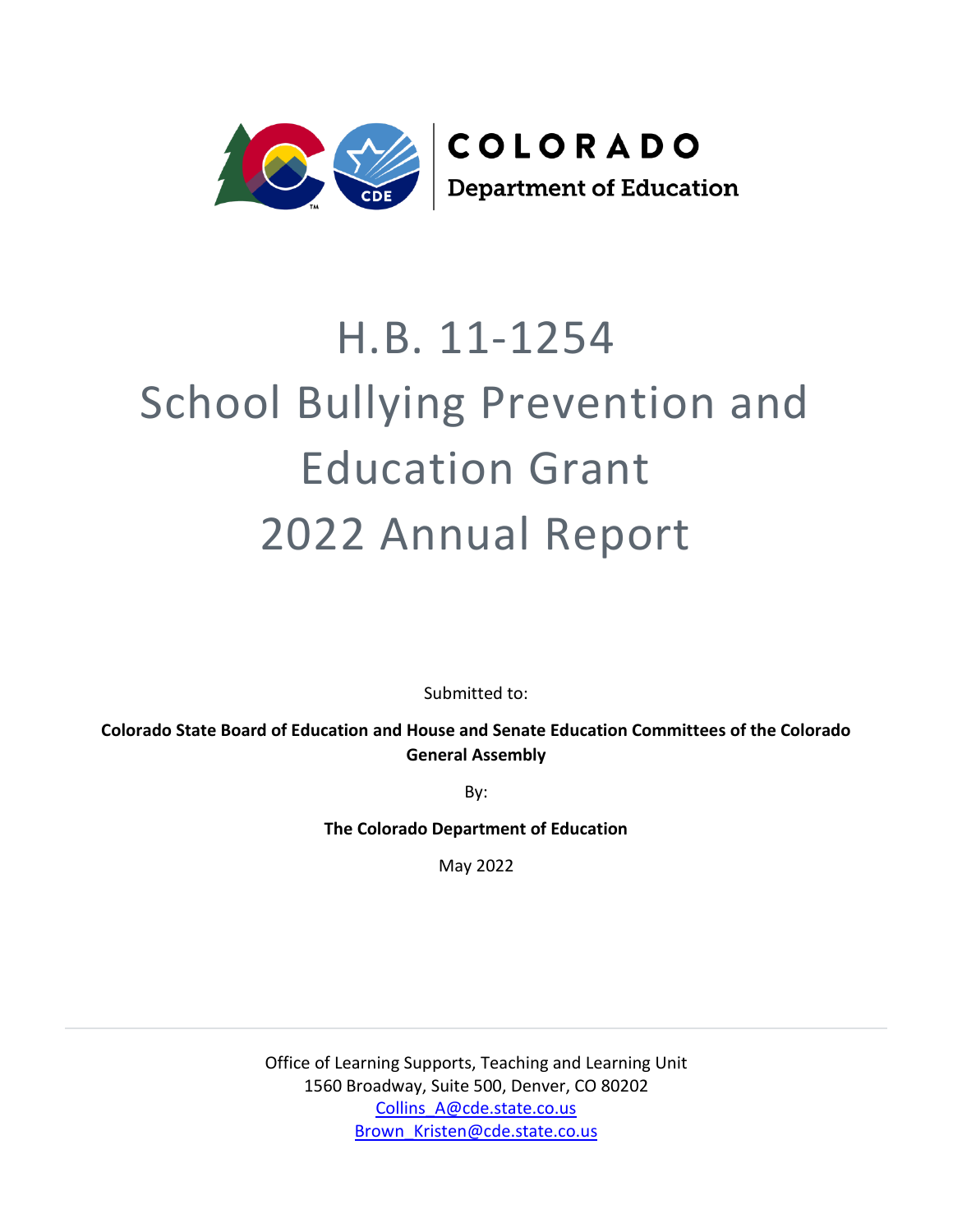

# H.B. 11-1254 School Bullying Prevention and Education Grant 2022 Annual Report

Submitted to:

**Colorado State Board of Education and House and Senate Education Committees of the Colorado General Assembly**

By:

**The Colorado Department of Education**

May 2022

Office of Learning Supports, Teaching and Learning Unit 1560 Broadway, Suite 500, Denver, CO 80202 [Collins\\_A@cde.state.co.us](mailto:Collins_A@cde.state.co.us) [Brown\\_Kristen@cde.state.co.us](mailto:Brown_Kristen@cde.state.co.us)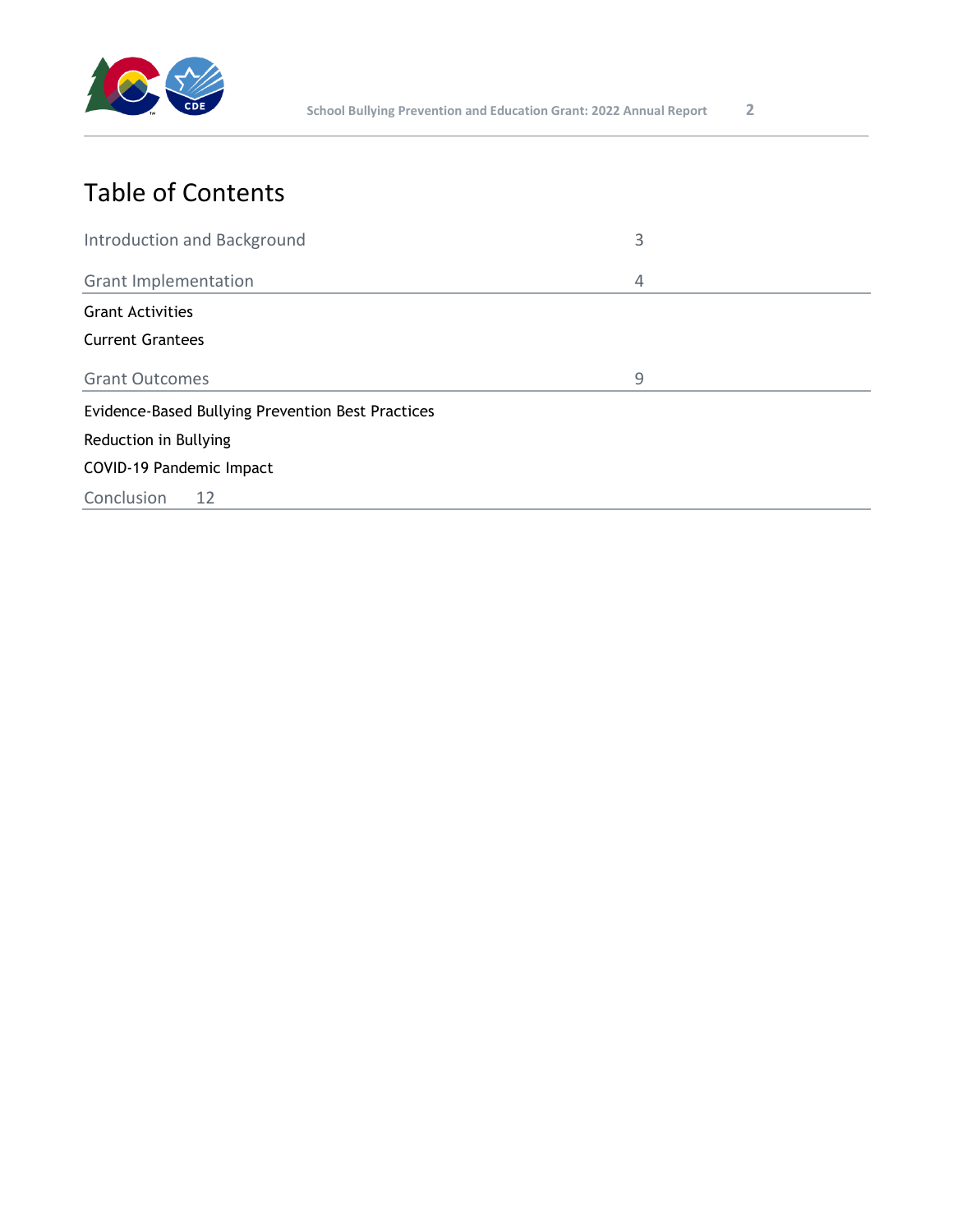

## Table of Contents

| Introduction and Background                              | 3 |  |  |
|----------------------------------------------------------|---|--|--|
| <b>Grant Implementation</b>                              | 4 |  |  |
| <b>Grant Activities</b>                                  |   |  |  |
| <b>Current Grantees</b>                                  |   |  |  |
| <b>Grant Outcomes</b>                                    | 9 |  |  |
| <b>Evidence-Based Bullying Prevention Best Practices</b> |   |  |  |
| Reduction in Bullying                                    |   |  |  |
| COVID-19 Pandemic Impact                                 |   |  |  |
| Conclusion<br>12                                         |   |  |  |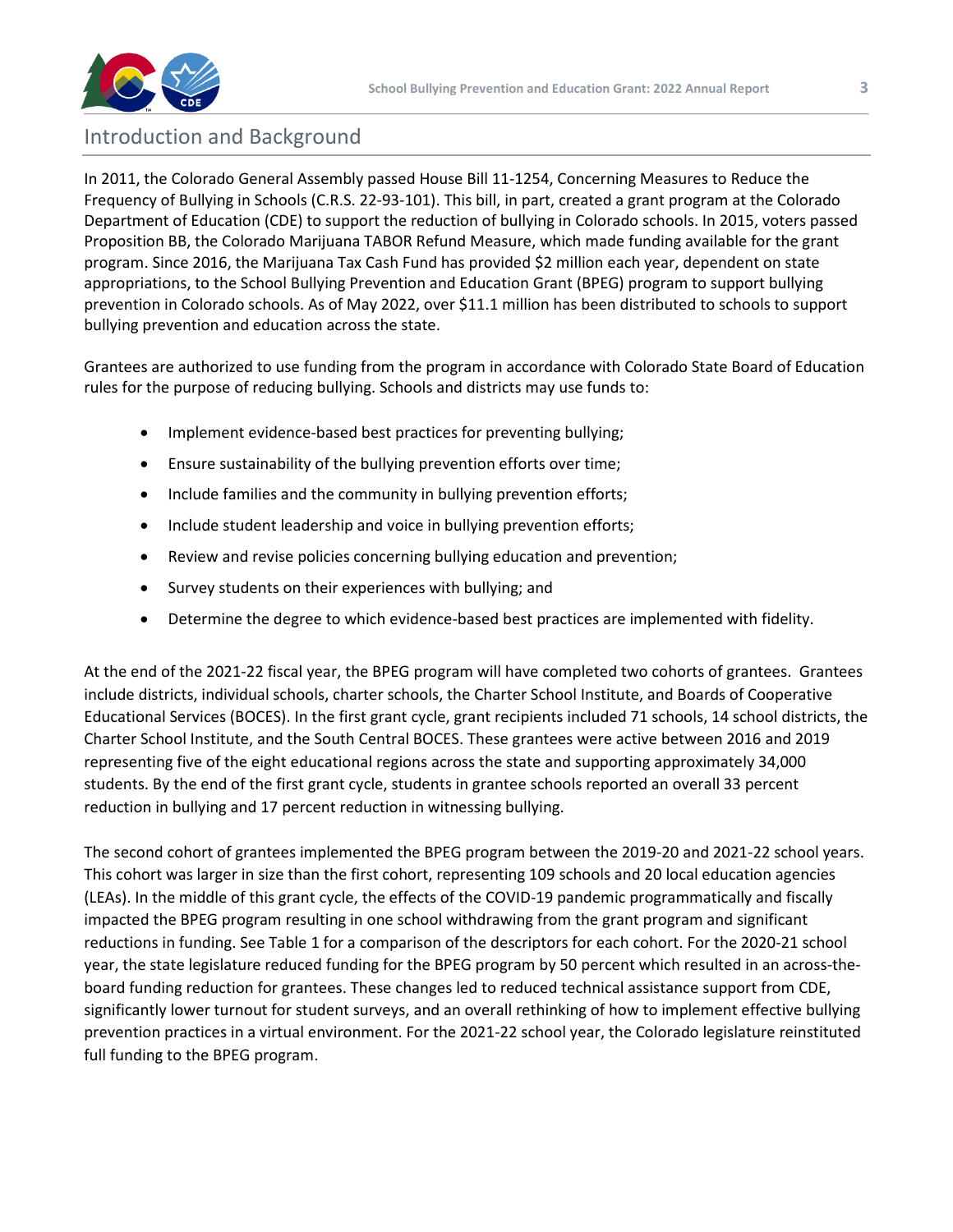

## Introduction and Background

In 2011, the Colorado General Assembly passed House Bill 11-1254, Concerning Measures to Reduce the Frequency of Bullying in Schools (C.R.S. 22-93-101). This bill, in part, created a grant program at the Colorado Department of Education (CDE) to support the reduction of bullying in Colorado schools. In 2015, voters passed Proposition BB, the Colorado Marijuana TABOR Refund Measure, which made funding available for the grant program. Since 2016, the Marijuana Tax Cash Fund has provided \$2 million each year, dependent on state appropriations, to the School Bullying Prevention and Education Grant (BPEG) program to support bullying prevention in Colorado schools. As of May 2022, over \$11.1 million has been distributed to schools to support bullying prevention and education across the state.

Grantees are authorized to use funding from the program in accordance with Colorado State Board of Education rules for the purpose of reducing bullying. Schools and districts may use funds to:

- Implement evidence-based best practices for preventing bullying;
- Ensure sustainability of the bullying prevention efforts over time;
- Include families and the community in bullying prevention efforts;
- Include student leadership and voice in bullying prevention efforts;
- Review and revise policies concerning bullying education and prevention;
- Survey students on their experiences with bullying; and
- Determine the degree to which evidence-based best practices are implemented with fidelity.

At the end of the 2021-22 fiscal year, the BPEG program will have completed two cohorts of grantees. Grantees include districts, individual schools, charter schools, the Charter School Institute, and Boards of Cooperative Educational Services (BOCES). In the first grant cycle, grant recipients included 71 schools, 14 school districts, the Charter School Institute, and the South Central BOCES. These grantees were active between 2016 and 2019 representing five of the eight educational regions across the state and supporting approximately 34,000 students. By the end of the first grant cycle, students in grantee schools reported an overall 33 percent reduction in bullying and 17 percent reduction in witnessing bullying.

The second cohort of grantees implemented the BPEG program between the 2019-20 and 2021-22 school years. This cohort was larger in size than the first cohort, representing 109 schools and 20 local education agencies (LEAs). In the middle of this grant cycle, the effects of the COVID-19 pandemic programmatically and fiscally impacted the BPEG program resulting in one school withdrawing from the grant program and significant reductions in funding. See Table 1 for a comparison of the descriptors for each cohort. For the 2020-21 school year, the state legislature reduced funding for the BPEG program by 50 percent which resulted in an across-theboard funding reduction for grantees. These changes led to reduced technical assistance support from CDE, significantly lower turnout for student surveys, and an overall rethinking of how to implement effective bullying prevention practices in a virtual environment. For the 2021-22 school year, the Colorado legislature reinstituted full funding to the BPEG program.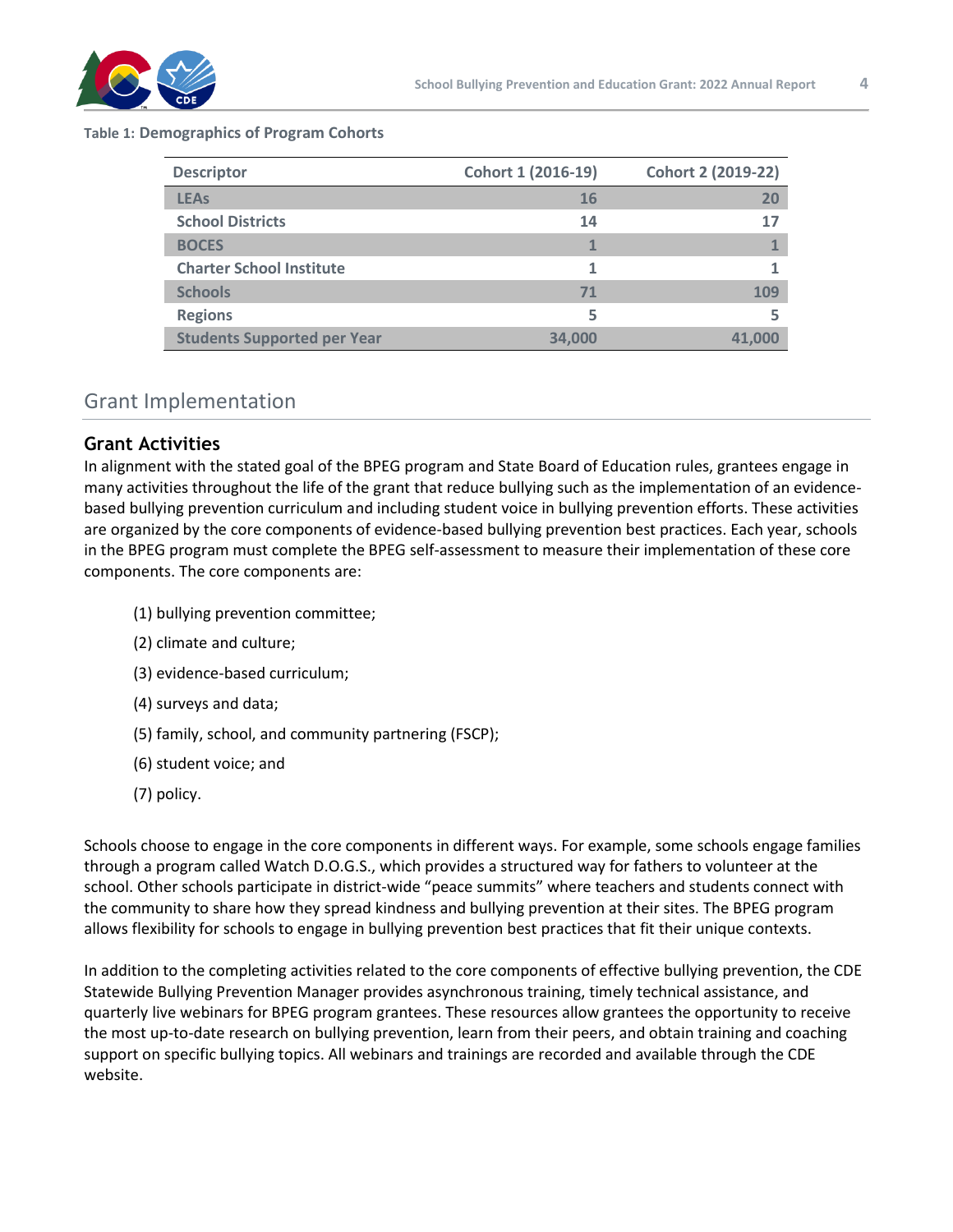

#### **Table 1: Demographics of Program Cohorts**

| <b>Descriptor</b>                  | Cohort 1 (2016-19) | <b>Cohort 2 (2019-22)</b> |
|------------------------------------|--------------------|---------------------------|
| <b>LEAs</b>                        | 16                 | 20                        |
| <b>School Districts</b>            | 14                 | 17                        |
| <b>BOCES</b>                       |                    |                           |
| <b>Charter School Institute</b>    |                    |                           |
| <b>Schools</b>                     | 71                 | 109                       |
| <b>Regions</b>                     |                    |                           |
| <b>Students Supported per Year</b> | 34.000             | 41.                       |

#### Grant Implementation

#### **Grant Activities**

In alignment with the stated goal of the BPEG program and State Board of Education rules, grantees engage in many activities throughout the life of the grant that reduce bullying such as the implementation of an evidencebased bullying prevention curriculum and including student voice in bullying prevention efforts. These activities are organized by the core components of evidence-based bullying prevention best practices. Each year, schools in the BPEG program must complete the BPEG self-assessment to measure their implementation of these core components. The core components are:

- (1) bullying prevention committee;
- (2) climate and culture;
- (3) evidence-based curriculum;
- (4) surveys and data;
- (5) family, school, and community partnering (FSCP);
- (6) student voice; and
- (7) policy.

Schools choose to engage in the core components in different ways. For example, some schools engage families through a program called Watch D.O.G.S., which provides a structured way for fathers to volunteer at the school. Other schools participate in district-wide "peace summits" where teachers and students connect with the community to share how they spread kindness and bullying prevention at their sites. The BPEG program allows flexibility for schools to engage in bullying prevention best practices that fit their unique contexts.

In addition to the completing activities related to the core components of effective bullying prevention, the CDE Statewide Bullying Prevention Manager provides asynchronous training, timely technical assistance, and quarterly live webinars for BPEG program grantees. These resources allow grantees the opportunity to receive the most up-to-date research on bullying prevention, learn from their peers, and obtain training and coaching support on specific bullying topics. All webinars and trainings are recorded and available through the CDE website.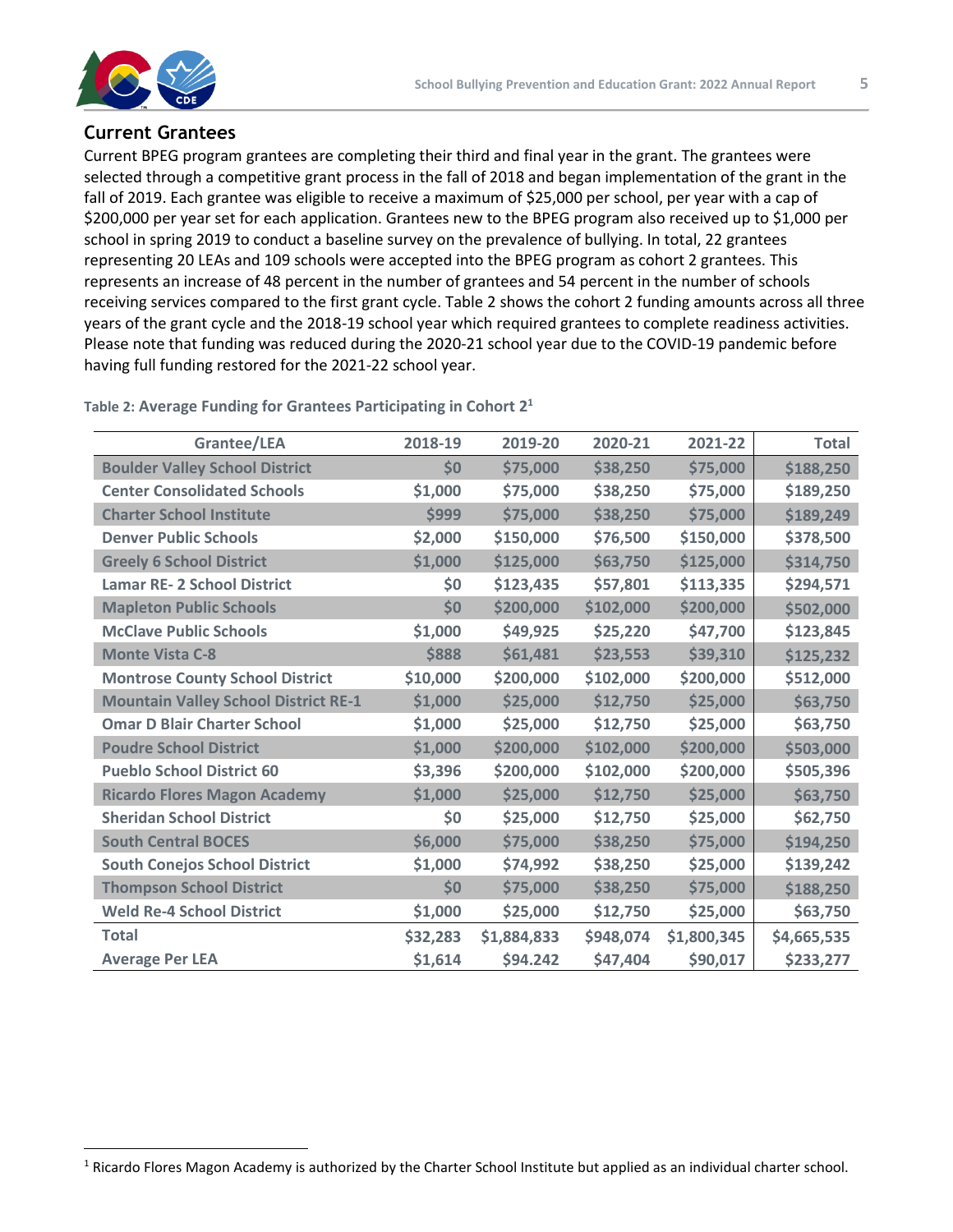

#### **Current Grantees**

Current BPEG program grantees are completing their third and final year in the grant. The grantees were selected through a competitive grant process in the fall of 2018 and began implementation of the grant in the fall of 2019. Each grantee was eligible to receive a maximum of \$25,000 per school, per year with a cap of \$200,000 per year set for each application. Grantees new to the BPEG program also received up to \$1,000 per school in spring 2019 to conduct a baseline survey on the prevalence of bullying. In total, 22 grantees representing 20 LEAs and 109 schools were accepted into the BPEG program as cohort 2 grantees. This represents an increase of 48 percent in the number of grantees and 54 percent in the number of schools receiving services compared to the first grant cycle. Table 2 shows the cohort 2 funding amounts across all three years of the grant cycle and the 2018-19 school year which required grantees to complete readiness activities. Please note that funding was reduced during the 2020-21 school year due to the COVID-19 pandemic before having full funding restored for the 2021-22 school year.

| Grantee/LEA                                 | 2018-19  | 2019-20     | 2020-21   | 2021-22     | <b>Total</b> |
|---------------------------------------------|----------|-------------|-----------|-------------|--------------|
| <b>Boulder Valley School District</b>       | \$0      | \$75,000    | \$38,250  | \$75,000    | \$188,250    |
| <b>Center Consolidated Schools</b>          | \$1,000  | \$75,000    | \$38,250  | \$75,000    | \$189,250    |
| <b>Charter School Institute</b>             | \$999    | \$75,000    | \$38,250  | \$75,000    | \$189,249    |
| <b>Denver Public Schools</b>                | \$2,000  | \$150,000   | \$76,500  | \$150,000   | \$378,500    |
| <b>Greely 6 School District</b>             | \$1,000  | \$125,000   | \$63,750  | \$125,000   | \$314,750    |
| <b>Lamar RE- 2 School District</b>          | \$0      | \$123,435   | \$57,801  | \$113,335   | \$294,571    |
| <b>Mapleton Public Schools</b>              | \$0      | \$200,000   | \$102,000 | \$200,000   | \$502,000    |
| <b>McClave Public Schools</b>               | \$1,000  | \$49,925    | \$25,220  | \$47,700    | \$123,845    |
| <b>Monte Vista C-8</b>                      | \$888    | \$61,481    | \$23,553  | \$39,310    | \$125,232    |
| <b>Montrose County School District</b>      | \$10,000 | \$200,000   | \$102,000 | \$200,000   | \$512,000    |
| <b>Mountain Valley School District RE-1</b> | \$1,000  | \$25,000    | \$12,750  | \$25,000    | \$63,750     |
| <b>Omar D Blair Charter School</b>          | \$1,000  | \$25,000    | \$12,750  | \$25,000    | \$63,750     |
| <b>Poudre School District</b>               | \$1,000  | \$200,000   | \$102,000 | \$200,000   | \$503,000    |
| <b>Pueblo School District 60</b>            | \$3,396  | \$200,000   | \$102,000 | \$200,000   | \$505,396    |
| <b>Ricardo Flores Magon Academy</b>         | \$1,000  | \$25,000    | \$12,750  | \$25,000    | \$63,750     |
| <b>Sheridan School District</b>             | \$0      | \$25,000    | \$12,750  | \$25,000    | \$62,750     |
| <b>South Central BOCES</b>                  | \$6,000  | \$75,000    | \$38,250  | \$75,000    | \$194,250    |
| <b>South Conejos School District</b>        | \$1,000  | \$74,992    | \$38,250  | \$25,000    | \$139,242    |
| <b>Thompson School District</b>             | \$0      | \$75,000    | \$38,250  | \$75,000    | \$188,250    |
| <b>Weld Re-4 School District</b>            | \$1,000  | \$25,000    | \$12,750  | \$25,000    | \$63,750     |
| <b>Total</b>                                | \$32,283 | \$1,884,833 | \$948,074 | \$1,800,345 | \$4,665,535  |
| <b>Average Per LEA</b>                      | \$1,614  | \$94.242    | \$47,404  | \$90,017    | \$233,277    |

**Table 2: Average Funding for Grantees Participating in Cohort 2<sup>1</sup>**

<sup>1</sup> Ricardo Flores Magon Academy is authorized by the Charter School Institute but applied as an individual charter school.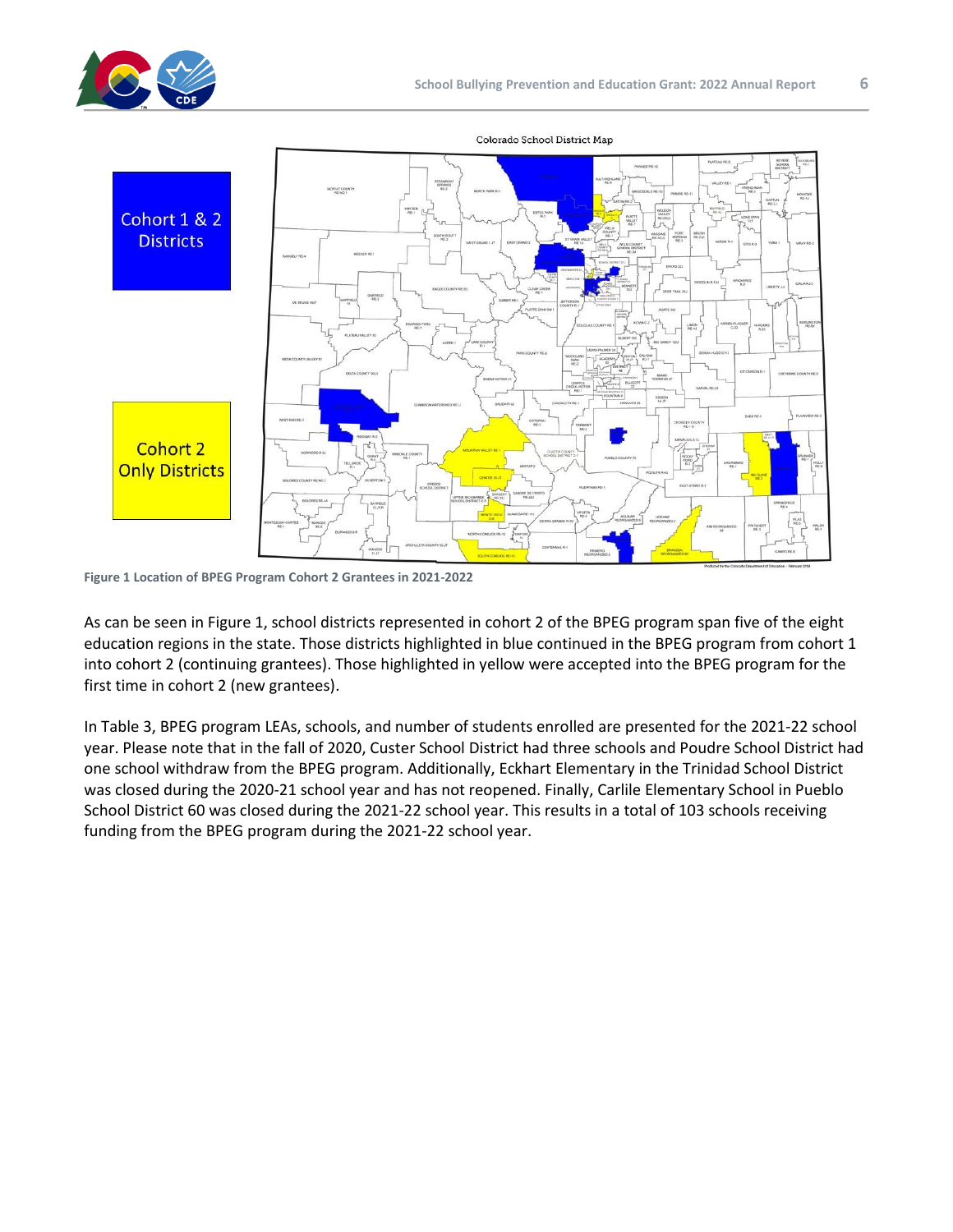



Colorado School District Map

**Figure 1 Location of BPEG Program Cohort 2 Grantees in 2021-2022**

As can be seen in Figure 1, school districts represented in cohort 2 of the BPEG program span five of the eight education regions in the state. Those districts highlighted in blue continued in the BPEG program from cohort 1 into cohort 2 (continuing grantees). Those highlighted in yellow were accepted into the BPEG program for the first time in cohort 2 (new grantees).

In Table 3, BPEG program LEAs, schools, and number of students enrolled are presented for the 2021-22 school year. Please note that in the fall of 2020, Custer School District had three schools and Poudre School District had one school withdraw from the BPEG program. Additionally, Eckhart Elementary in the Trinidad School District was closed during the 2020-21 school year and has not reopened. Finally, Carlile Elementary School in Pueblo School District 60 was closed during the 2021-22 school year. This results in a total of 103 schools receiving funding from the BPEG program during the 2021-22 school year.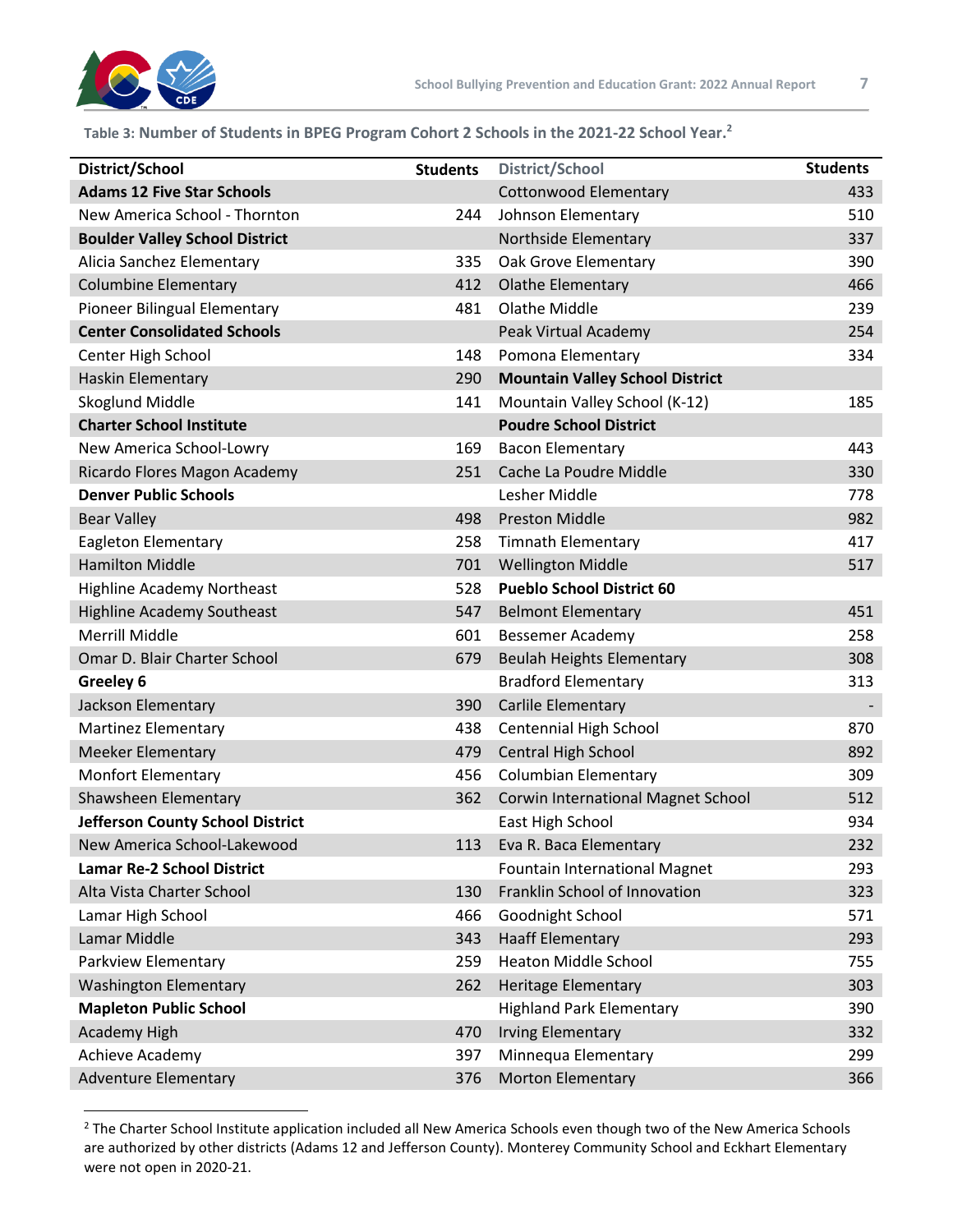

#### **Table 3: Number of Students in BPEG Program Cohort 2 Schools in the 2021-22 School Year.<sup>2</sup>**

| District/School                       | <b>Students</b> | <b>District/School</b>                    | <b>Students</b> |
|---------------------------------------|-----------------|-------------------------------------------|-----------------|
| <b>Adams 12 Five Star Schools</b>     |                 | <b>Cottonwood Elementary</b>              | 433             |
| New America School - Thornton         | 244             | Johnson Elementary                        | 510             |
| <b>Boulder Valley School District</b> |                 | Northside Elementary                      | 337             |
| Alicia Sanchez Elementary             | 335             | Oak Grove Elementary                      | 390             |
| <b>Columbine Elementary</b>           | 412             | <b>Olathe Elementary</b>                  | 466             |
| Pioneer Bilingual Elementary          | 481             | <b>Olathe Middle</b>                      | 239             |
| <b>Center Consolidated Schools</b>    |                 | Peak Virtual Academy                      | 254             |
| Center High School                    | 148             | Pomona Elementary                         | 334             |
| Haskin Elementary                     | 290             | <b>Mountain Valley School District</b>    |                 |
| Skoglund Middle                       | 141             | Mountain Valley School (K-12)             | 185             |
| <b>Charter School Institute</b>       |                 | <b>Poudre School District</b>             |                 |
| New America School-Lowry              | 169             | <b>Bacon Elementary</b>                   | 443             |
| Ricardo Flores Magon Academy          | 251             | Cache La Poudre Middle                    | 330             |
| <b>Denver Public Schools</b>          |                 | Lesher Middle                             | 778             |
| <b>Bear Valley</b>                    | 498             | <b>Preston Middle</b>                     | 982             |
| <b>Eagleton Elementary</b>            | 258             | <b>Timnath Elementary</b>                 | 417             |
| <b>Hamilton Middle</b>                | 701             | <b>Wellington Middle</b>                  | 517             |
| <b>Highline Academy Northeast</b>     | 528             | <b>Pueblo School District 60</b>          |                 |
| <b>Highline Academy Southeast</b>     | 547             | <b>Belmont Elementary</b>                 | 451             |
| <b>Merrill Middle</b>                 | 601             | Bessemer Academy                          | 258             |
| Omar D. Blair Charter School          | 679             | <b>Beulah Heights Elementary</b>          | 308             |
| Greeley 6                             |                 | <b>Bradford Elementary</b>                | 313             |
| Jackson Elementary                    | 390             | Carlile Elementary                        |                 |
| <b>Martinez Elementary</b>            | 438             | Centennial High School                    | 870             |
| <b>Meeker Elementary</b>              | 479             | Central High School                       | 892             |
| <b>Monfort Elementary</b>             | 456             | <b>Columbian Elementary</b>               | 309             |
| Shawsheen Elementary                  | 362             | <b>Corwin International Magnet School</b> | 512             |
| Jefferson County School District      |                 | East High School                          | 934             |
| New America School-Lakewood           | 113             | Eva R. Baca Elementary                    | 232             |
| <b>Lamar Re-2 School District</b>     |                 | <b>Fountain International Magnet</b>      | 293             |
| Alta Vista Charter School             | 130             | Franklin School of Innovation             | 323             |
| Lamar High School                     | 466             | Goodnight School                          | 571             |
| Lamar Middle                          | 343             | <b>Haaff Elementary</b>                   | 293             |
| Parkview Elementary                   | 259             | <b>Heaton Middle School</b>               | 755             |
| <b>Washington Elementary</b>          | 262             | <b>Heritage Elementary</b>                | 303             |
| <b>Mapleton Public School</b>         |                 | <b>Highland Park Elementary</b>           | 390             |
| Academy High                          | 470             | <b>Irving Elementary</b>                  | 332             |
| Achieve Academy                       | 397             | Minnequa Elementary                       | 299             |
| <b>Adventure Elementary</b>           | 376             | <b>Morton Elementary</b>                  | 366             |

<sup>&</sup>lt;sup>2</sup> The Charter School Institute application included all New America Schools even though two of the New America Schools are authorized by other districts (Adams 12 and Jefferson County). Monterey Community School and Eckhart Elementary were not open in 2020-21.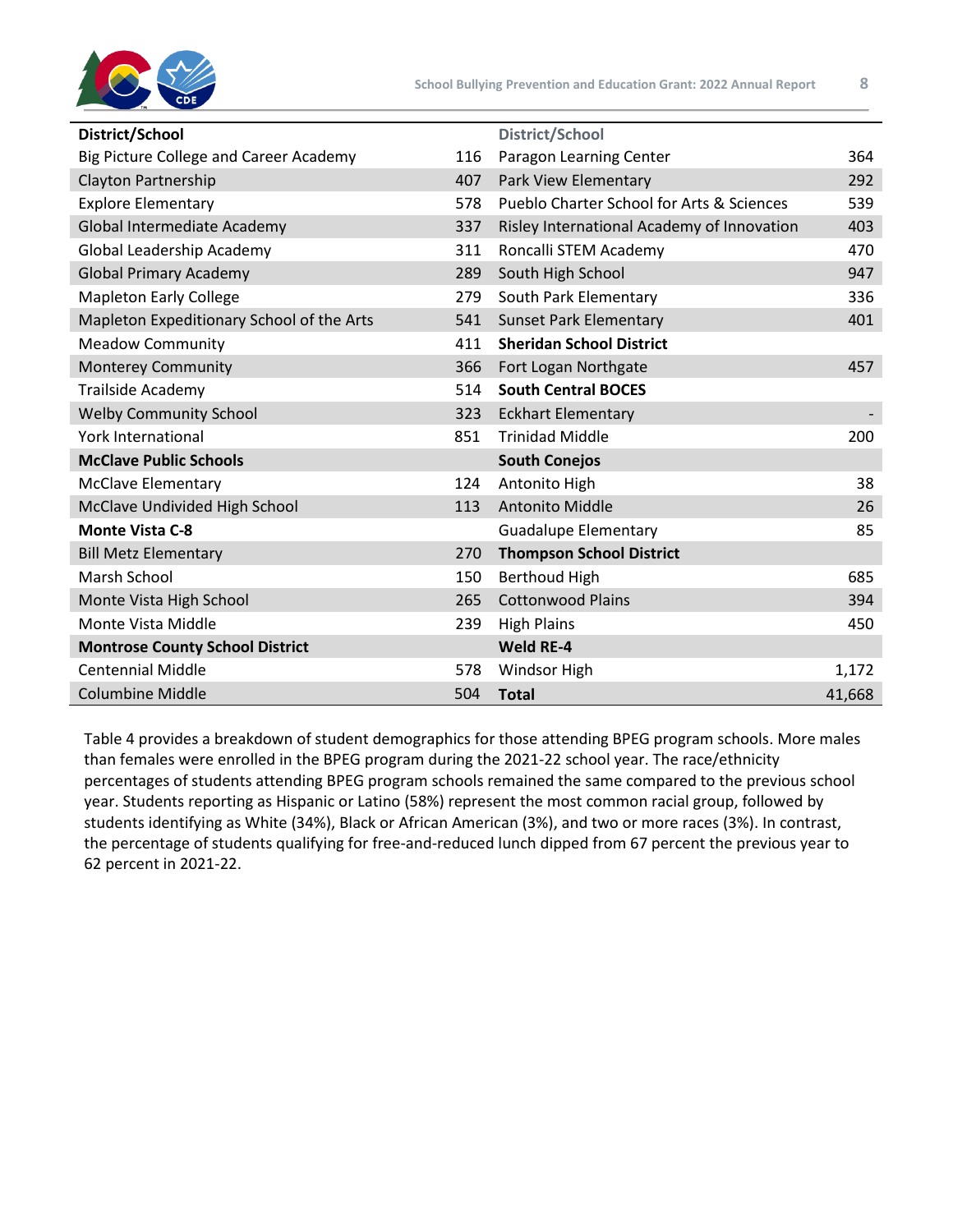

| District/School                           |     | <b>District/School</b>                               |        |
|-------------------------------------------|-----|------------------------------------------------------|--------|
| Big Picture College and Career Academy    | 116 | Paragon Learning Center                              | 364    |
| Clayton Partnership                       | 407 | Park View Elementary                                 | 292    |
| <b>Explore Elementary</b>                 | 578 | <b>Pueblo Charter School for Arts &amp; Sciences</b> | 539    |
| Global Intermediate Academy               | 337 | Risley International Academy of Innovation           | 403    |
| Global Leadership Academy                 | 311 | Roncalli STEM Academy                                | 470    |
| <b>Global Primary Academy</b>             | 289 | South High School                                    | 947    |
| <b>Mapleton Early College</b>             | 279 | South Park Elementary                                | 336    |
| Mapleton Expeditionary School of the Arts | 541 | <b>Sunset Park Elementary</b>                        | 401    |
| <b>Meadow Community</b>                   | 411 | <b>Sheridan School District</b>                      |        |
| <b>Monterey Community</b>                 | 366 | Fort Logan Northgate                                 | 457    |
| Trailside Academy                         | 514 | <b>South Central BOCES</b>                           |        |
| <b>Welby Community School</b>             | 323 | <b>Eckhart Elementary</b>                            |        |
| <b>York International</b>                 | 851 | <b>Trinidad Middle</b>                               | 200    |
| <b>McClave Public Schools</b>             |     | <b>South Conejos</b>                                 |        |
| <b>McClave Elementary</b>                 | 124 | Antonito High                                        | 38     |
| McClave Undivided High School             | 113 | Antonito Middle                                      | 26     |
| <b>Monte Vista C-8</b>                    |     | <b>Guadalupe Elementary</b>                          | 85     |
| <b>Bill Metz Elementary</b>               | 270 | <b>Thompson School District</b>                      |        |
| Marsh School                              | 150 | <b>Berthoud High</b>                                 | 685    |
| Monte Vista High School                   | 265 | <b>Cottonwood Plains</b>                             | 394    |
| Monte Vista Middle                        | 239 | <b>High Plains</b>                                   | 450    |
| <b>Montrose County School District</b>    |     | Weld RE-4                                            |        |
| <b>Centennial Middle</b>                  | 578 | Windsor High                                         | 1,172  |
| <b>Columbine Middle</b>                   | 504 | <b>Total</b>                                         | 41,668 |

Table 4 provides a breakdown of student demographics for those attending BPEG program schools. More males than females were enrolled in the BPEG program during the 2021-22 school year. The race/ethnicity percentages of students attending BPEG program schools remained the same compared to the previous school year. Students reporting as Hispanic or Latino (58%) represent the most common racial group, followed by students identifying as White (34%), Black or African American (3%), and two or more races (3%). In contrast, the percentage of students qualifying for free-and-reduced lunch dipped from 67 percent the previous year to 62 percent in 2021-22.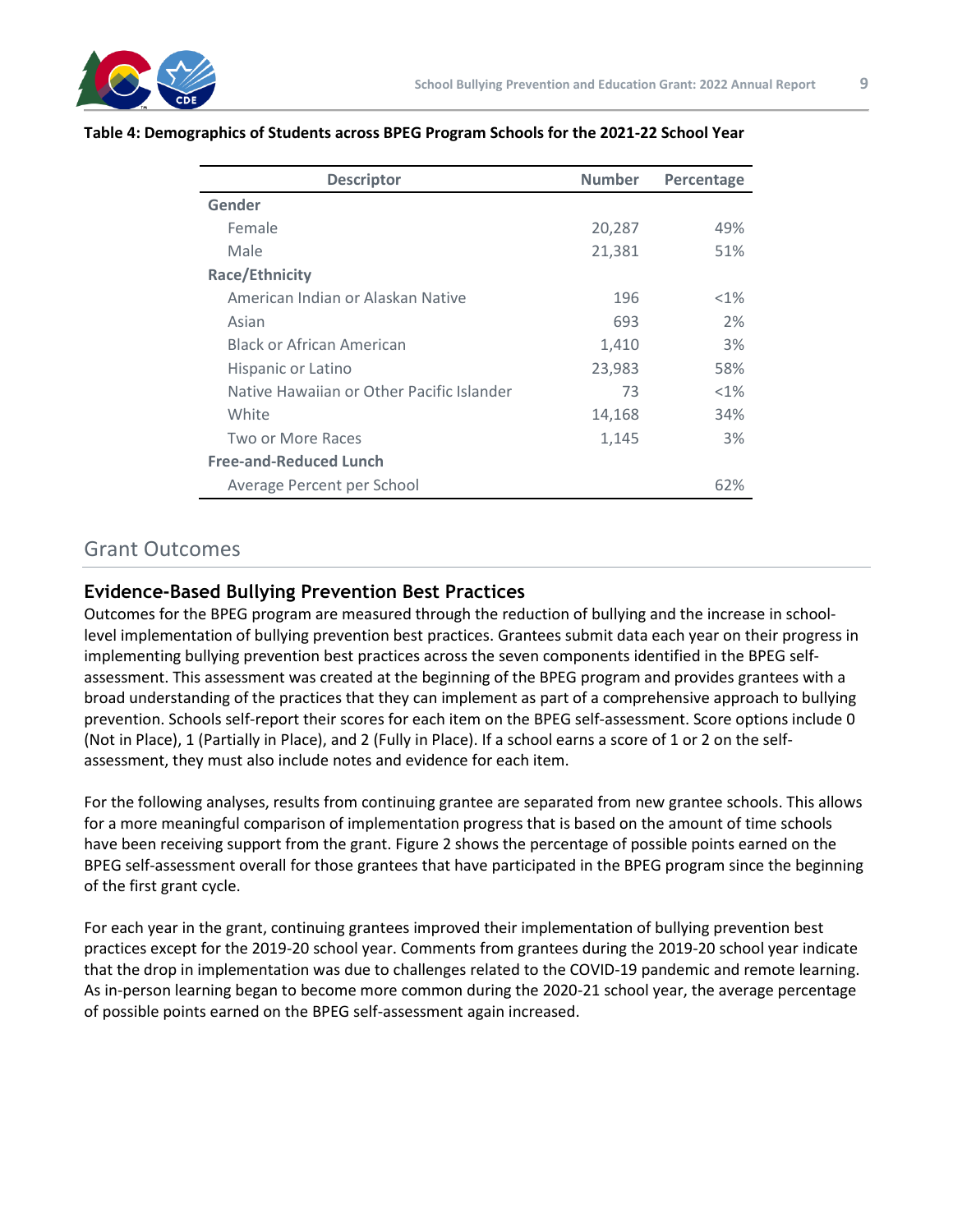

| <b>Descriptor</b>                         | <b>Number</b> | Percentage |
|-------------------------------------------|---------------|------------|
| Gender                                    |               |            |
| Female                                    | 20,287        | 49%        |
| Male                                      | 21,381        | 51%        |
| <b>Race/Ethnicity</b>                     |               |            |
| American Indian or Alaskan Native         | 196           | $< 1\%$    |
| Asian                                     | 693           | 2%         |
| <b>Black or African American</b>          | 1,410         | 3%         |
| Hispanic or Latino                        | 23,983        | 58%        |
| Native Hawaiian or Other Pacific Islander | 73            | $< 1\%$    |
| White                                     | 14,168        | 34%        |
| Two or More Races                         | 1,145         | 3%         |
| <b>Free-and-Reduced Lunch</b>             |               |            |
| Average Percent per School                |               | 62%        |

#### **Table 4: Demographics of Students across BPEG Program Schools for the 2021-22 School Year**

## Grant Outcomes

#### **Evidence-Based Bullying Prevention Best Practices**

Outcomes for the BPEG program are measured through the reduction of bullying and the increase in schoollevel implementation of bullying prevention best practices. Grantees submit data each year on their progress in implementing bullying prevention best practices across the seven components identified in the BPEG selfassessment. This assessment was created at the beginning of the BPEG program and provides grantees with a broad understanding of the practices that they can implement as part of a comprehensive approach to bullying prevention. Schools self-report their scores for each item on the BPEG self-assessment. Score options include 0 (Not in Place), 1 (Partially in Place), and 2 (Fully in Place). If a school earns a score of 1 or 2 on the selfassessment, they must also include notes and evidence for each item.

For the following analyses, results from continuing grantee are separated from new grantee schools. This allows for a more meaningful comparison of implementation progress that is based on the amount of time schools have been receiving support from the grant. Figure 2 shows the percentage of possible points earned on the BPEG self-assessment overall for those grantees that have participated in the BPEG program since the beginning of the first grant cycle.

For each year in the grant, continuing grantees improved their implementation of bullying prevention best practices except for the 2019-20 school year. Comments from grantees during the 2019-20 school year indicate that the drop in implementation was due to challenges related to the COVID-19 pandemic and remote learning. As in-person learning began to become more common during the 2020-21 school year, the average percentage of possible points earned on the BPEG self-assessment again increased.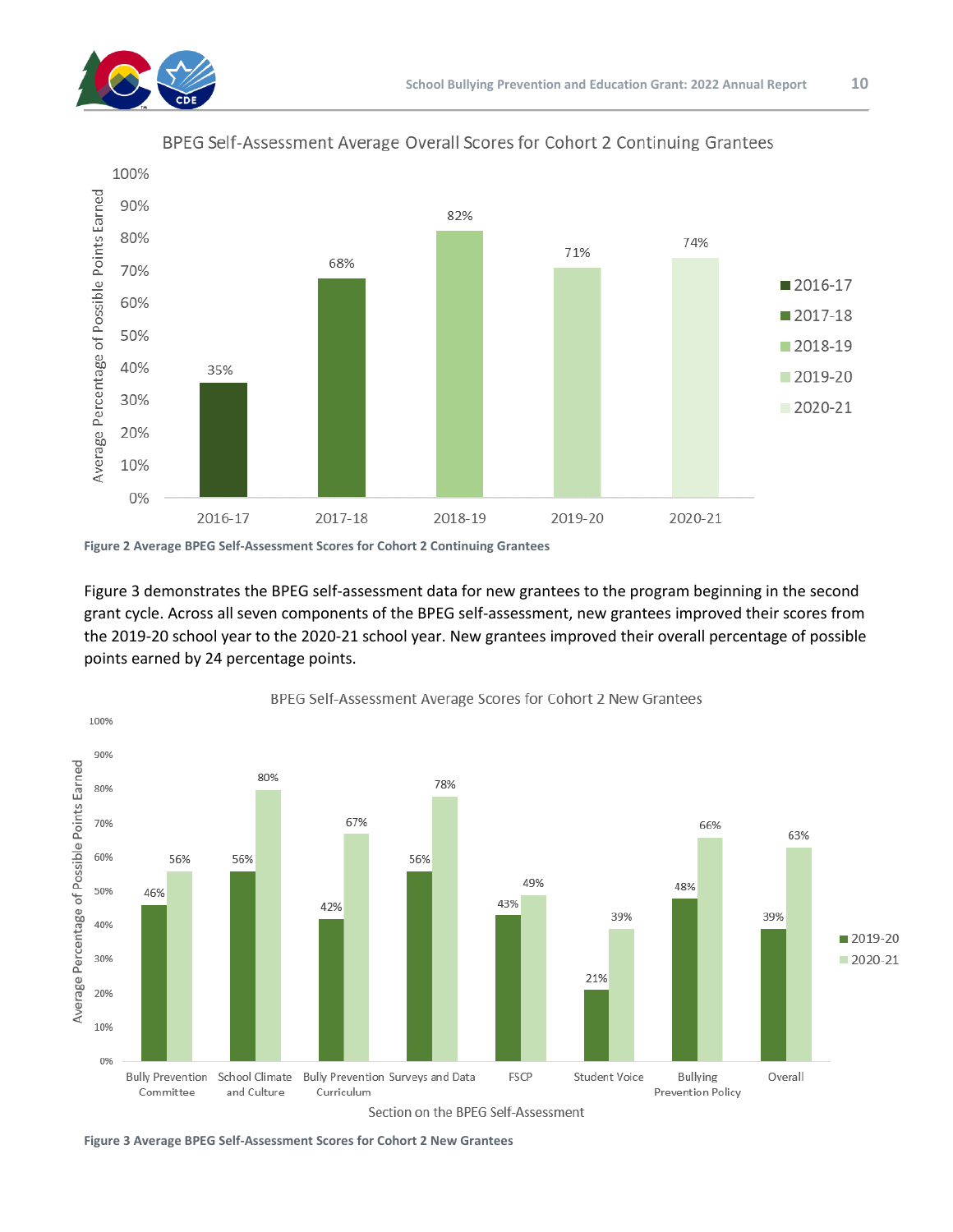



BPEG Self-Assessment Average Overall Scores for Cohort 2 Continuing Grantees

**Figure 2 Average BPEG Self-Assessment Scores for Cohort 2 Continuing Grantees**

Figure 3 demonstrates the BPEG self-assessment data for new grantees to the program beginning in the second grant cycle. Across all seven components of the BPEG self-assessment, new grantees improved their scores from the 2019-20 school year to the 2020-21 school year. New grantees improved their overall percentage of possible points earned by 24 percentage points.



**Figure 3 Average BPEG Self-Assessment Scores for Cohort 2 New Grantees**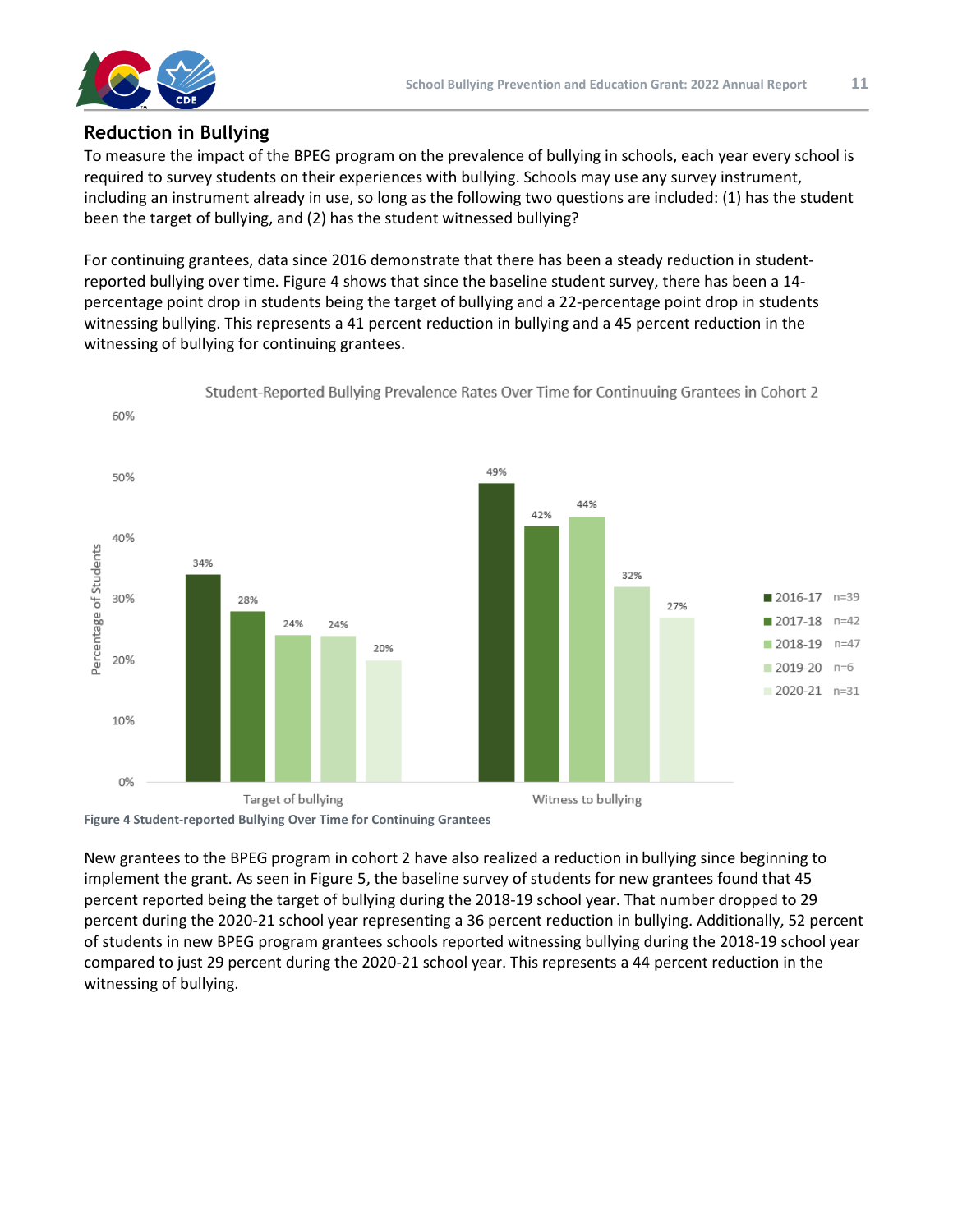

#### **Reduction in Bullying**

To measure the impact of the BPEG program on the prevalence of bullying in schools, each year every school is required to survey students on their experiences with bullying. Schools may use any survey instrument, including an instrument already in use, so long as the following two questions are included: (1) has the student been the target of bullying, and (2) has the student witnessed bullying?

For continuing grantees, data since 2016 demonstrate that there has been a steady reduction in studentreported bullying over time. Figure 4 shows that since the baseline student survey, there has been a 14 percentage point drop in students being the target of bullying and a 22-percentage point drop in students witnessing bullying. This represents a 41 percent reduction in bullying and a 45 percent reduction in the witnessing of bullying for continuing grantees.



Student-Reported Bullying Prevalence Rates Over Time for Continuuing Grantees in Cohort 2

**Figure 4 Student-reported Bullying Over Time for Continuing Grantees**

New grantees to the BPEG program in cohort 2 have also realized a reduction in bullying since beginning to implement the grant. As seen in Figure 5, the baseline survey of students for new grantees found that 45 percent reported being the target of bullying during the 2018-19 school year. That number dropped to 29 percent during the 2020-21 school year representing a 36 percent reduction in bullying. Additionally, 52 percent of students in new BPEG program grantees schools reported witnessing bullying during the 2018-19 school year compared to just 29 percent during the 2020-21 school year. This represents a 44 percent reduction in the witnessing of bullying.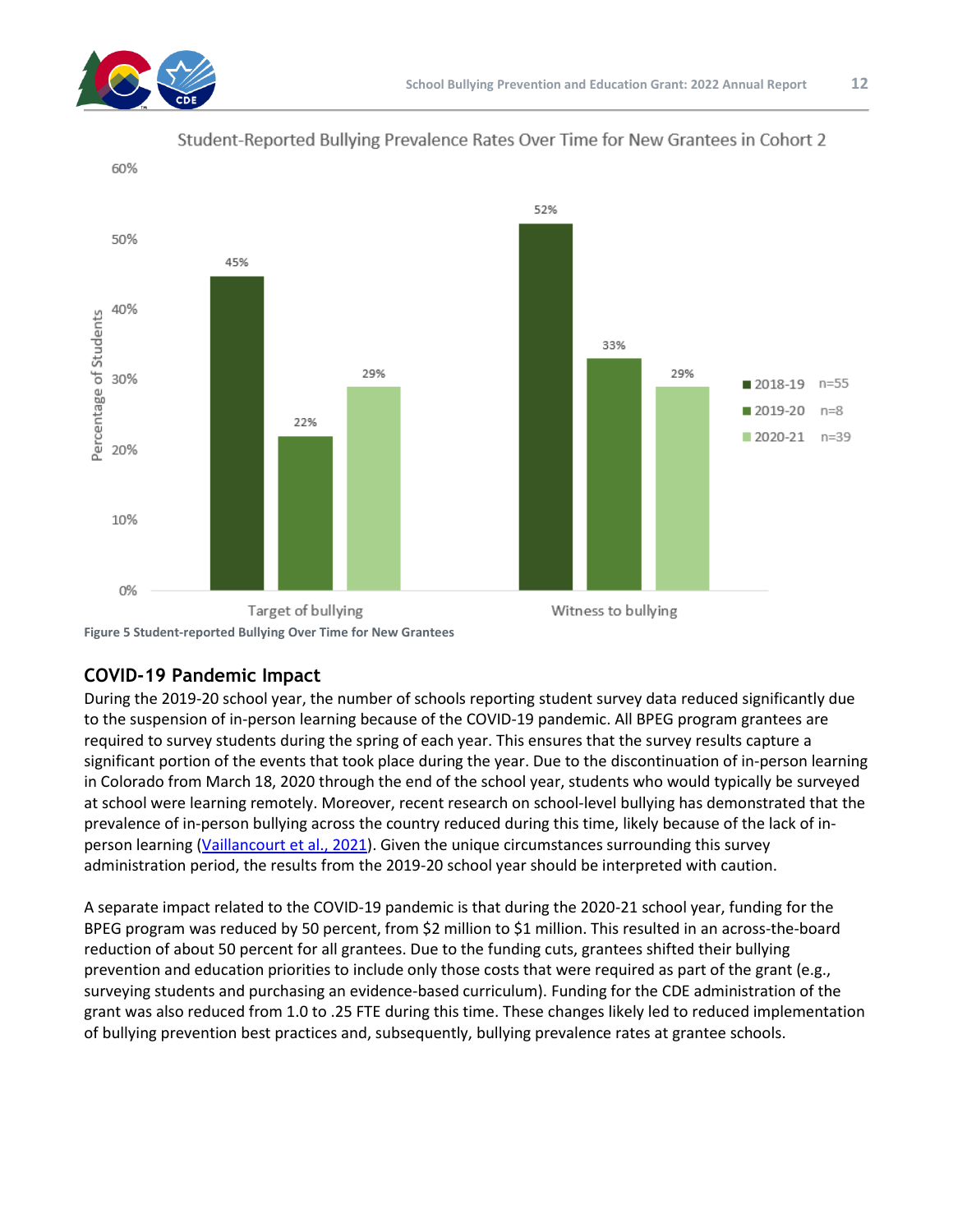





**Figure 5 Student-reported Bullying Over Time for New Grantees**

## **COVID-19 Pandemic Impact**

During the 2019-20 school year, the number of schools reporting student survey data reduced significantly due to the suspension of in-person learning because of the COVID-19 pandemic. All BPEG program grantees are required to survey students during the spring of each year. This ensures that the survey results capture a significant portion of the events that took place during the year. Due to the discontinuation of in-person learning in Colorado from March 18, 2020 through the end of the school year, students who would typically be surveyed at school were learning remotely. Moreover, recent research on school-level bullying has demonstrated that the prevalence of in-person bullying across the country reduced during this time, likely because of the lack of in-person learning [\(Vaillancourt](https://onlinelibrary.wiley.com/doi/abs/10.1002/ab.21986) et al., 2021). Given the unique circumstances surrounding this survey administration period, the results from the 2019-20 school year should be interpreted with caution.

A separate impact related to the COVID-19 pandemic is that during the 2020-21 school year, funding for the BPEG program was reduced by 50 percent, from \$2 million to \$1 million. This resulted in an across-the-board reduction of about 50 percent for all grantees. Due to the funding cuts, grantees shifted their bullying prevention and education priorities to include only those costs that were required as part of the grant (e.g., surveying students and purchasing an evidence-based curriculum). Funding for the CDE administration of the grant was also reduced from 1.0 to .25 FTE during this time. These changes likely led to reduced implementation of bullying prevention best practices and, subsequently, bullying prevalence rates at grantee schools.